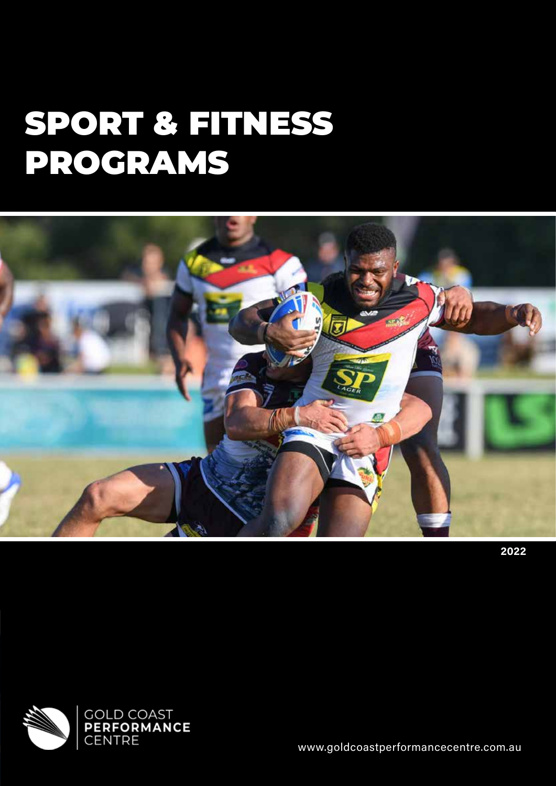# SPORT & FITNESS PROGRAMS



**2022**



www.goldcoastperformancecentre.com.au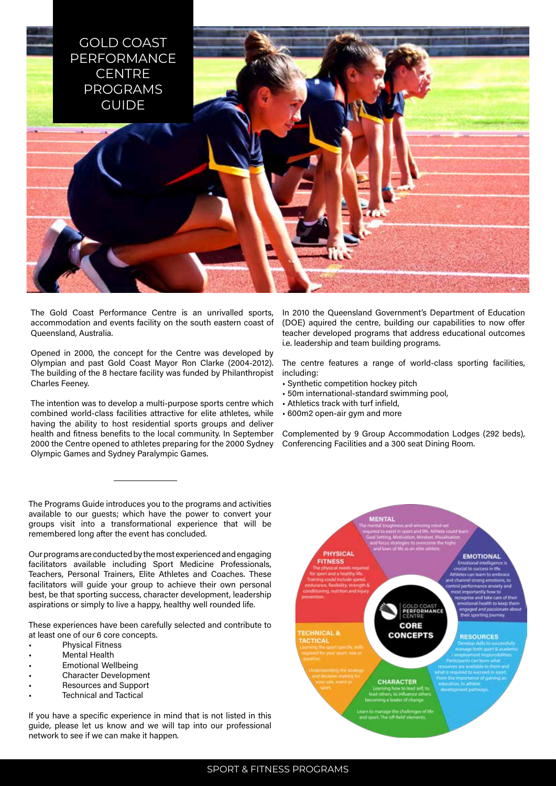

The Gold Coast Performance Centre is an unrivalled sports, accommodation and events facility on the south eastern coast of Queensland, Australia.

Opened in 2000, the concept for the Centre was developed by Olympian and past Gold Coast Mayor Ron Clarke (2004-2012). The building of the 8 hectare facility was funded by Philanthropist Charles Feeney.

The intention was to develop a multi-purpose sports centre which combined world-class facilities attractive for elite athletes, while having the ability to host residential sports groups and deliver health and fitness benefits to the local community. In September 2000 the Centre opened to athletes preparing for the 2000 Sydney Olympic Games and Sydney Paralympic Games.

The Programs Guide introduces you to the programs and activities available to our guests; which have the power to convert your groups visit into a transformational experience that will be remembered long after the event has concluded.

Our programs are conducted by the most experienced and engaging facilitators available including Sport Medicine Professionals, Teachers, Personal Trainers, Elite Athletes and Coaches. These facilitators will guide your group to achieve their own personal best, be that sporting success, character development, leadership aspirations or simply to live a happy, healthy well rounded life.

These experiences have been carefully selected and contribute to at least one of our 6 core concepts.

- Physical Fitness
- **Mental Health**
- Emotional Wellbeing
- Character Development
- Resources and Support
- Technical and Tactical

If you have a specific experience in mind that is not listed in this guide, please let us know and we will tap into our professional network to see if we can make it happen.

In 2010 the Queensland Government's Department of Education (DOE) aquired the centre, building our capabilities to now offer teacher developed programs that address educational outcomes i.e. leadership and team building programs.

The centre features a range of world-class sporting facilities, including:

- Synthetic competition hockey pitch
- 50m international-standard swimming pool,
- Athletics track with turf infield,
- 600m2 open-air gym and more

Complemented by 9 Group Accommodation Lodges (292 beds), Conferencing Facilities and a 300 seat Dining Room.

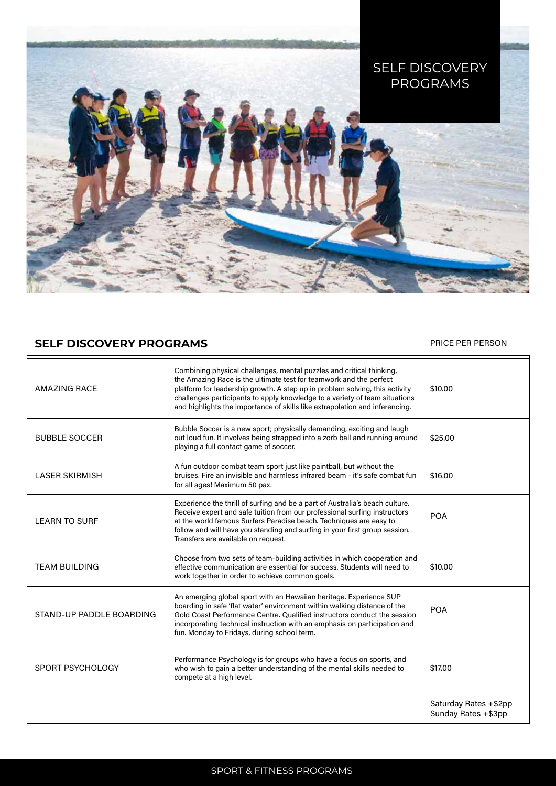

# **SELF DISCOVERY PROGRAMS PRICE PER PERSON**

| <b>AMAZING RACE</b>      | Combining physical challenges, mental puzzles and critical thinking,<br>the Amazing Race is the ultimate test for teamwork and the perfect<br>platform for leadership growth. A step up in problem solving, this activity<br>challenges participants to apply knowledge to a variety of team situations<br>and highlights the importance of skills like extrapolation and inferencing. | \$10,00                                      |
|--------------------------|----------------------------------------------------------------------------------------------------------------------------------------------------------------------------------------------------------------------------------------------------------------------------------------------------------------------------------------------------------------------------------------|----------------------------------------------|
| <b>BUBBLE SOCCER</b>     | Bubble Soccer is a new sport; physically demanding, exciting and laugh<br>out loud fun. It involves being strapped into a zorb ball and running around<br>playing a full contact game of soccer.                                                                                                                                                                                       | \$25,00                                      |
| <b>LASER SKIRMISH</b>    | A fun outdoor combat team sport just like paintball, but without the<br>bruises. Fire an invisible and harmless infrared beam - it's safe combat fun<br>for all ages! Maximum 50 pax.                                                                                                                                                                                                  | \$16,00                                      |
| <b>LEARN TO SURF</b>     | Experience the thrill of surfing and be a part of Australia's beach culture.<br>Receive expert and safe tuition from our professional surfing instructors<br>at the world famous Surfers Paradise beach. Techniques are easy to<br>follow and will have you standing and surfing in your first group session.<br>Transfers are available on request.                                   | <b>POA</b>                                   |
| <b>TEAM BUILDING</b>     | Choose from two sets of team-building activities in which cooperation and<br>effective communication are essential for success. Students will need to<br>work together in order to achieve common goals.                                                                                                                                                                               | \$10,00                                      |
| STAND-UP PADDLE BOARDING | An emerging global sport with an Hawaiian heritage. Experience SUP<br>boarding in safe 'flat water' environment within walking distance of the<br>Gold Coast Performance Centre, Qualified instructors conduct the session<br>incorporating technical instruction with an emphasis on participation and<br>fun. Monday to Fridays, during school term.                                 | <b>POA</b>                                   |
| SPORT PSYCHOLOGY         | Performance Psychology is for groups who have a focus on sports, and<br>who wish to gain a better understanding of the mental skills needed to<br>compete at a high level.                                                                                                                                                                                                             | \$17,00                                      |
|                          |                                                                                                                                                                                                                                                                                                                                                                                        | Saturday Rates +\$2pp<br>Sunday Rates +\$3pp |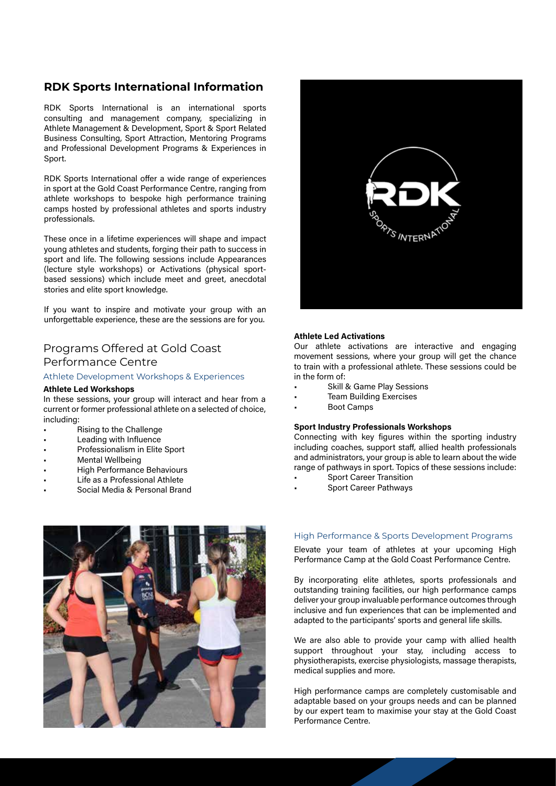# **RDK Sports International Information**

RDK Sports International is an international sports consulting and management company, specializing in Athlete Management & Development, Sport & Sport Related Business Consulting, Sport Attraction, Mentoring Programs and Professional Development Programs & Experiences in Sport.

RDK Sports International offer a wide range of experiences in sport at the Gold Coast Performance Centre, ranging from athlete workshops to bespoke high performance training camps hosted by professional athletes and sports industry professionals.

These once in a lifetime experiences will shape and impact young athletes and students, forging their path to success in sport and life. The following sessions include Appearances (lecture style workshops) or Activations (physical sportbased sessions) which include meet and greet, anecdotal stories and elite sport knowledge.

If you want to inspire and motivate your group with an unforgettable experience, these are the sessions are for you.

# Programs Offered at Gold Coast Performance Centre

### Athlete Development Workshops & Experiences

### **Athlete Led Workshops**

In these sessions, your group will interact and hear from a current or former professional athlete on a selected of choice, including:

- Rising to the Challenge
- Leading with Influence
- Professionalism in Elite Sport
- **Mental Wellbeing**
- High Performance Behaviours
- Life as a Professional Athlete
- Social Media & Personal Brand





### **Athlete Led Activations**

Our athlete activations are interactive and engaging movement sessions, where your group will get the chance to train with a professional athlete. These sessions could be in the form of:

- Skill & Game Play Sessions
- **Team Building Exercises**
- Boot Camps

### **Sport Industry Professionals Workshops**

Connecting with key figures within the sporting industry including coaches, support staff, allied health professionals and administrators, your group is able to learn about the wide range of pathways in sport. Topics of these sessions include: Sport Career Transition

- 
- Sport Career Pathways

### High Performance & Sports Development Programs

Elevate your team of athletes at your upcoming High Performance Camp at the Gold Coast Performance Centre.

By incorporating elite athletes, sports professionals and outstanding training facilities, our high performance camps deliver your group invaluable performance outcomes through inclusive and fun experiences that can be implemented and adapted to the participants' sports and general life skills.

We are also able to provide your camp with allied health support throughout your stay, including access to physiotherapists, exercise physiologists, massage therapists, medical supplies and more.

High performance camps are completely customisable and adaptable based on your groups needs and can be planned by our expert team to maximise your stay at the Gold Coast Performance Centre.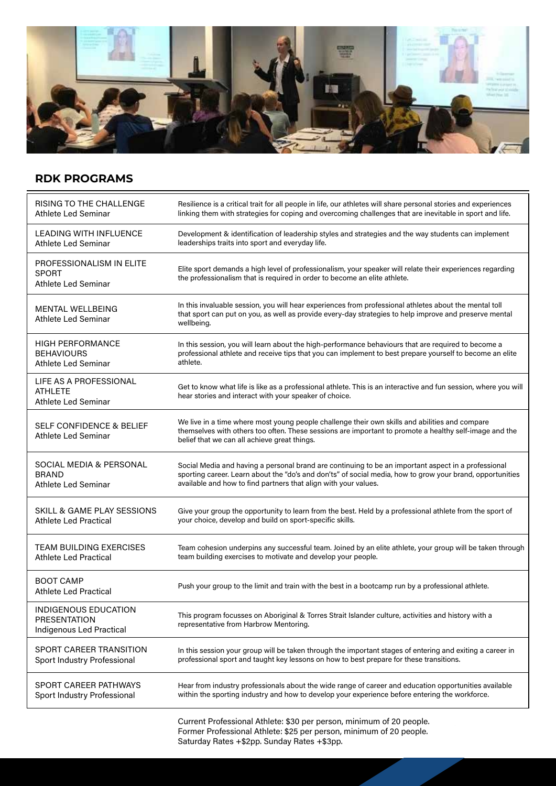

# **RDK PROGRAMS**

| RISING TO THE CHALLENGE                                                 | Resilience is a critical trait for all people in life, our athletes will share personal stories and experiences                                                                                                                                          |
|-------------------------------------------------------------------------|----------------------------------------------------------------------------------------------------------------------------------------------------------------------------------------------------------------------------------------------------------|
| Athlete Led Seminar                                                     | linking them with strategies for coping and overcoming challenges that are inevitable in sport and life.                                                                                                                                                 |
| LEADING WITH INFLUENCE                                                  | Development & identification of leadership styles and strategies and the way students can implement                                                                                                                                                      |
| Athlete Led Seminar                                                     | leaderships traits into sport and everyday life.                                                                                                                                                                                                         |
| PROFESSIONALISM IN ELITE<br><b>SPORT</b><br><b>Athlete Led Seminar</b>  | Elite sport demands a high level of professionalism, your speaker will relate their experiences regarding<br>the professionalism that is required in order to become an elite athlete.                                                                   |
| <b>MENTAL WELLBEING</b><br><b>Athlete Led Seminar</b>                   | In this invaluable session, you will hear experiences from professional athletes about the mental toll<br>that sport can put on you, as well as provide every-day strategies to help improve and preserve mental<br>wellbeing.                           |
| <b>HIGH PERFORMANCE</b>                                                 | In this session, you will learn about the high-performance behaviours that are required to become a                                                                                                                                                      |
| <b>BEHAVIOURS</b>                                                       | professional athlete and receive tips that you can implement to best prepare yourself to become an elite                                                                                                                                                 |
| <b>Athlete Led Seminar</b>                                              | athlete.                                                                                                                                                                                                                                                 |
| LIFE AS A PROFESSIONAL<br>ATHLETE<br><b>Athlete Led Seminar</b>         | Get to know what life is like as a professional athlete. This is an interactive and fun session, where you will<br>hear stories and interact with your speaker of choice.                                                                                |
| SELF CONFIDENCE & BELIEF<br>Athlete Led Seminar                         | We live in a time where most young people challenge their own skills and abilities and compare<br>themselves with others too often. These sessions are important to promote a healthy self-image and the<br>belief that we can all achieve great things. |
| SOCIAL MEDIA & PERSONAL                                                 | Social Media and having a personal brand are continuing to be an important aspect in a professional                                                                                                                                                      |
| <b>BRAND</b>                                                            | sporting career. Learn about the "do's and don'ts" of social media, how to grow your brand, opportunities                                                                                                                                                |
| Athlete Led Seminar                                                     | available and how to find partners that align with your values.                                                                                                                                                                                          |
| SKILL & GAME PLAY SESSIONS                                              | Give your group the opportunity to learn from the best. Held by a professional athlete from the sport of                                                                                                                                                 |
| Athlete Led Practical                                                   | your choice, develop and build on sport-specific skills.                                                                                                                                                                                                 |
| <b>TEAM BUILDING EXERCISES</b>                                          | Team cohesion underpins any successful team. Joined by an elite athlete, your group will be taken through                                                                                                                                                |
| <b>Athlete Led Practical</b>                                            | team building exercises to motivate and develop your people.                                                                                                                                                                                             |
| <b>BOOT CAMP</b><br>Athlete Led Practical                               | Push your group to the limit and train with the best in a bootcamp run by a professional athlete.                                                                                                                                                        |
| INDIGENOUS EDUCATION<br><b>PRESENTATION</b><br>Indigenous Led Practical | This program focusses on Aboriginal & Torres Strait Islander culture, activities and history with a<br>representative from Harbrow Mentoring.                                                                                                            |
| <b>SPORT CAREER TRANSITION</b>                                          | In this session your group will be taken through the important stages of entering and exiting a career in                                                                                                                                                |
| Sport Industry Professional                                             | professional sport and taught key lessons on how to best prepare for these transitions.                                                                                                                                                                  |
| SPORT CAREER PATHWAYS                                                   | Hear from industry professionals about the wide range of career and education opportunities available                                                                                                                                                    |
| Sport Industry Professional                                             | within the sporting industry and how to develop your experience before entering the workforce.                                                                                                                                                           |
|                                                                         | Current Professional Athlete: \$30 per person, minimum of 20 people.                                                                                                                                                                                     |

Former Professional Athlete: \$25 per person, minimum of 20 people. Saturday Rates +\$2pp. Sunday Rates +\$3pp.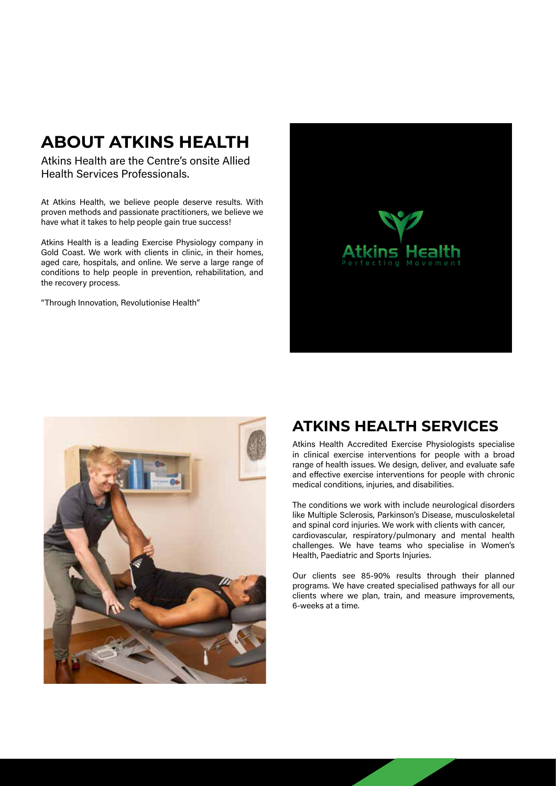# **ABOUT ATKINS HEALTH**

Atkins Health are the Centre's onsite Allied Health Services Professionals.

At Atkins Health, we believe people deserve results. With proven methods and passionate practitioners, we believe we have what it takes to help people gain true success!

Atkins Health is a leading Exercise Physiology company in Gold Coast. We work with clients in clinic, in their homes, aged care, hospitals, and online. We serve a large range of conditions to help people in prevention, rehabilitation, and the recovery process.

"Through Innovation, Revolutionise Health"





# **ATKINS HEALTH SERVICES**

Atkins Health Accredited Exercise Physiologists specialise in clinical exercise interventions for people with a broad range of health issues. We design, deliver, and evaluate safe and effective exercise interventions for people with chronic medical conditions, injuries, and disabilities.

The conditions we work with include neurological disorders like Multiple Sclerosis, Parkinson's Disease, musculoskeletal and spinal cord injuries. We work with clients with cancer, cardiovascular, respiratory/pulmonary and mental health challenges. We have teams who specialise in Women's Health, Paediatric and Sports Injuries.

Our clients see 85-90% results through their planned programs. We have created specialised pathways for all our clients where we plan, train, and measure improvements, 6-weeks at a time.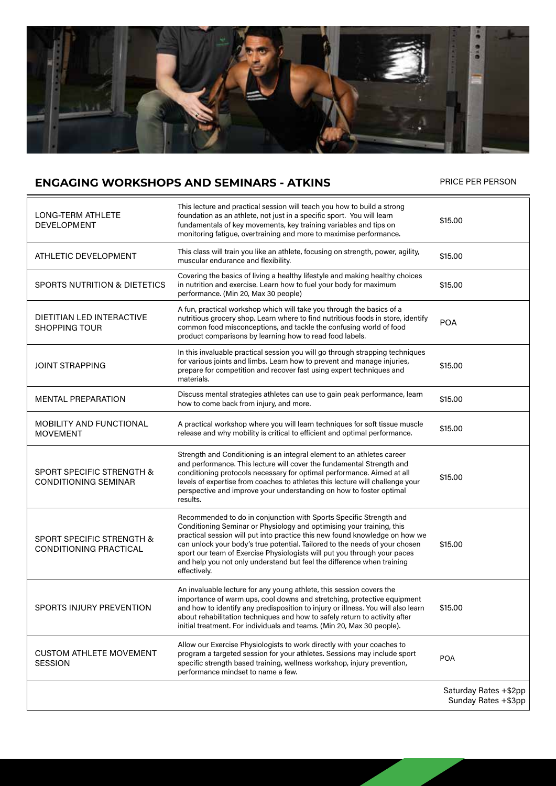

# **ENGAGING WORKSHOPS AND SEMINARS - ATKINS** PRICE PER PERSON

| LONG-TERM ATHLETE<br><b>DEVELOPMENT</b>                               | This lecture and practical session will teach you how to build a strong<br>foundation as an athlete, not just in a specific sport. You will learn<br>fundamentals of key movements, key training variables and tips on<br>monitoring fatigue, overtraining and more to maximise performance.                                                                                                                                                                                    | \$15,00                                      |
|-----------------------------------------------------------------------|---------------------------------------------------------------------------------------------------------------------------------------------------------------------------------------------------------------------------------------------------------------------------------------------------------------------------------------------------------------------------------------------------------------------------------------------------------------------------------|----------------------------------------------|
| ATHLETIC DEVELOPMENT                                                  | This class will train you like an athlete, focusing on strength, power, agility,<br>muscular endurance and flexibility.                                                                                                                                                                                                                                                                                                                                                         | \$15.00                                      |
| <b>SPORTS NUTRITION &amp; DIETETICS</b>                               | Covering the basics of living a healthy lifestyle and making healthy choices<br>in nutrition and exercise. Learn how to fuel your body for maximum<br>performance. (Min 20, Max 30 people)                                                                                                                                                                                                                                                                                      | \$15.00                                      |
| <b>DIETITIAN LED INTERACTIVE</b><br><b>SHOPPING TOUR</b>              | A fun, practical workshop which will take you through the basics of a<br>nutritious grocery shop. Learn where to find nutritious foods in store, identify<br>common food misconceptions, and tackle the confusing world of food<br>product comparisons by learning how to read food labels.                                                                                                                                                                                     | <b>POA</b>                                   |
| <b>JOINT STRAPPING</b>                                                | In this invaluable practical session you will go through strapping techniques<br>for various joints and limbs. Learn how to prevent and manage injuries,<br>prepare for competition and recover fast using expert techniques and<br>materials.                                                                                                                                                                                                                                  | \$15.00                                      |
| <b>MENTAL PREPARATION</b>                                             | Discuss mental strategies athletes can use to gain peak performance, learn<br>how to come back from injury, and more.                                                                                                                                                                                                                                                                                                                                                           | \$15.00                                      |
| <b>MOBILITY AND FUNCTIONAL</b><br><b>MOVEMENT</b>                     | A practical workshop where you will learn techniques for soft tissue muscle<br>release and why mobility is critical to efficient and optimal performance.                                                                                                                                                                                                                                                                                                                       | \$15.00                                      |
| <b>SPORT SPECIFIC STRENGTH &amp;</b><br><b>CONDITIONING SEMINAR</b>   | Strength and Conditioning is an integral element to an athletes career<br>and performance. This lecture will cover the fundamental Strength and<br>conditioning protocols necessary for optimal performance. Aimed at all<br>levels of expertise from coaches to athletes this lecture will challenge your<br>perspective and improve your understanding on how to foster optimal<br>results.                                                                                   | \$15.00                                      |
| <b>SPORT SPECIFIC STRENGTH &amp;</b><br><b>CONDITIONING PRACTICAL</b> | Recommended to do in conjunction with Sports Specific Strength and<br>Conditioning Seminar or Physiology and optimising your training, this<br>practical session will put into practice this new found knowledge on how we<br>can unlock your body's true potential. Tailored to the needs of your chosen<br>sport our team of Exercise Physiologists will put you through your paces<br>and help you not only understand but feel the difference when training<br>effectively. | \$15.00                                      |
| <b>SPORTS INJURY PREVENTION</b>                                       | An invaluable lecture for any young athlete, this session covers the<br>importance of warm ups, cool downs and stretching, protective equipment<br>and how to identify any predisposition to injury or illness. You will also learn<br>about rehabilitation techniques and how to safely return to activity after<br>initial treatment. For individuals and teams. (Min 20, Max 30 people).                                                                                     | \$15,00                                      |
| <b>CUSTOM ATHLETE MOVEMENT</b><br><b>SESSION</b>                      | Allow our Exercise Physiologists to work directly with your coaches to<br>program a targeted session for your athletes. Sessions may include sport<br>specific strength based training, wellness workshop, injury prevention,<br>performance mindset to name a few.                                                                                                                                                                                                             | <b>POA</b>                                   |
|                                                                       |                                                                                                                                                                                                                                                                                                                                                                                                                                                                                 | Saturday Rates +\$2pp<br>Sunday Rates +\$3pp |
|                                                                       |                                                                                                                                                                                                                                                                                                                                                                                                                                                                                 |                                              |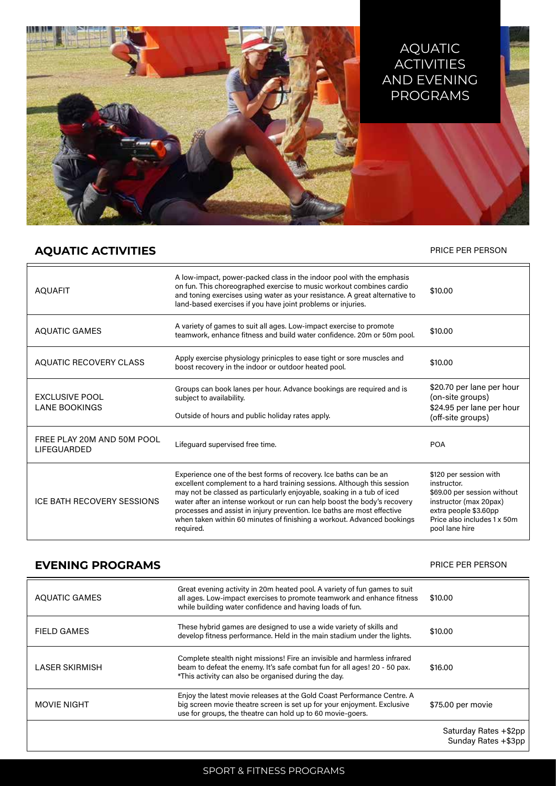

# **AQUATIC ACTIVITIES** PRICE PER PERSON

| <b>AQUAFIT</b>                                | A low-impact, power-packed class in the indoor pool with the emphasis<br>on fun. This choreographed exercise to music workout combines cardio<br>and toning exercises using water as your resistance. A great alternative to<br>land-based exercises if you have joint problems or injuries.                                                                                                                                                                         | \$10,00                                                                                                                                                                  |
|-----------------------------------------------|----------------------------------------------------------------------------------------------------------------------------------------------------------------------------------------------------------------------------------------------------------------------------------------------------------------------------------------------------------------------------------------------------------------------------------------------------------------------|--------------------------------------------------------------------------------------------------------------------------------------------------------------------------|
| <b>AQUATIC GAMES</b>                          | A variety of games to suit all ages. Low-impact exercise to promote<br>teamwork, enhance fitness and build water confidence. 20m or 50m pool.                                                                                                                                                                                                                                                                                                                        | \$10,00                                                                                                                                                                  |
| <b>AQUATIC RECOVERY CLASS</b>                 | Apply exercise physiology prinicples to ease tight or sore muscles and<br>boost recovery in the indoor or outdoor heated pool.                                                                                                                                                                                                                                                                                                                                       | \$10,00                                                                                                                                                                  |
| <b>EXCLUSIVE POOL</b><br><b>LANE BOOKINGS</b> | Groups can book lanes per hour. Advance bookings are required and is<br>subject to availability.<br>Outside of hours and public holiday rates apply.                                                                                                                                                                                                                                                                                                                 | \$20.70 per lane per hour<br>(on-site groups)<br>\$24.95 per lane per hour<br>(off-site groups)                                                                          |
| FREE PLAY 20M AND 50M POOL<br>LIFEGUARDED     | Lifequard supervised free time.                                                                                                                                                                                                                                                                                                                                                                                                                                      | <b>POA</b>                                                                                                                                                               |
| ICE BATH RECOVERY SESSIONS                    | Experience one of the best forms of recovery. Ice baths can be an<br>excellent complement to a hard training sessions. Although this session<br>may not be classed as particularly enjoyable, soaking in a tub of iced<br>water after an intense workout or run can help boost the body's recovery<br>processes and assist in injury prevention. Ice baths are most effective<br>when taken within 60 minutes of finishing a workout. Advanced bookings<br>required. | \$120 per session with<br>instructor.<br>\$69.00 per session without<br>instructor (max 20pax)<br>extra people \$3.60pp<br>Price also includes 1 x 50m<br>pool lane hire |

# **EVENING PROGRAMS EVENING PRICE PER PERSON**

| AQUATIC GAMES         | Great evening activity in 20m heated pool. A variety of fun games to suit<br>all ages. Low-impact exercises to promote teamwork and enhance fitness<br>while building water confidence and having loads of fun.  | \$10,00               |
|-----------------------|------------------------------------------------------------------------------------------------------------------------------------------------------------------------------------------------------------------|-----------------------|
| <b>FIELD GAMES</b>    | These hybrid games are designed to use a wide variety of skills and<br>develop fitness performance. Held in the main stadium under the lights.                                                                   | \$10,00               |
| <b>LASER SKIRMISH</b> | Complete stealth night missions! Fire an invisible and harmless infrared<br>beam to defeat the enemy. It's safe combat fun for all ages! 20 - 50 pax.<br>*This activity can also be organised during the day.    | \$16,00               |
| <b>MOVIE NIGHT</b>    | Enjoy the latest movie releases at the Gold Coast Performance Centre. A<br>big screen movie theatre screen is set up for your enjoyment. Exclusive<br>use for groups, the theatre can hold up to 60 movie-goers. | \$75.00 per movie     |
|                       |                                                                                                                                                                                                                  | Saturday Rates +\$2pp |

Sunday Rates +\$3pp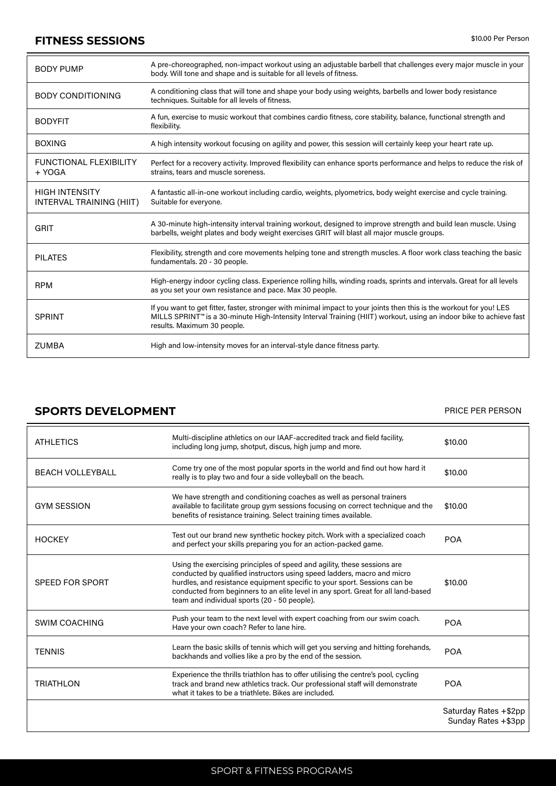# **FITNESS SESSIONS**  $$^{10.00 \text{ Per Person}}$$

-

| <b>BODY PUMP</b>                                  | A pre-choreographed, non-impact workout using an adjustable barbell that challenges every major muscle in your<br>body. Will tone and shape and is suitable for all levels of fitness.                                                                                    |
|---------------------------------------------------|---------------------------------------------------------------------------------------------------------------------------------------------------------------------------------------------------------------------------------------------------------------------------|
| <b>BODY CONDITIONING</b>                          | A conditioning class that will tone and shape your body using weights, barbells and lower body resistance<br>techniques. Suitable for all levels of fitness.                                                                                                              |
| <b>BODYFIT</b>                                    | A fun, exercise to music workout that combines cardio fitness, core stability, balance, functional strength and<br>flexibility.                                                                                                                                           |
| <b>BOXING</b>                                     | A high intensity workout focusing on agility and power, this session will certainly keep your heart rate up.                                                                                                                                                              |
| <b>FUNCTIONAL FLEXIBILITY</b><br>+ YOGA           | Perfect for a recovery activity. Improved flexibility can enhance sports performance and helps to reduce the risk of<br>strains, tears and muscle soreness.                                                                                                               |
| <b>HIGH INTENSITY</b><br>INTERVAL TRAINING (HIIT) | A fantastic all-in-one workout including cardio, weights, plyometrics, body weight exercise and cycle training.<br>Suitable for everyone.                                                                                                                                 |
| <b>GRIT</b>                                       | A 30-minute high-intensity interval training workout, designed to improve strength and build lean muscle. Using<br>barbells, weight plates and body weight exercises GRIT will blast all major muscle groups.                                                             |
| <b>PILATES</b>                                    | Flexibility, strength and core movements helping tone and strength muscles. A floor work class teaching the basic<br>fundamentals. 20 - 30 people.                                                                                                                        |
| <b>RPM</b>                                        | High-energy indoor cycling class. Experience rolling hills, winding roads, sprints and intervals. Great for all levels<br>as you set your own resistance and pace. Max 30 people.                                                                                         |
| <b>SPRINT</b>                                     | If you want to get fitter, faster, stronger with minimal impact to your joints then this is the workout for you! LES<br>MILLS SPRINT™ is a 30-minute High-Intensity Interval Training (HIIT) workout, using an indoor bike to achieve fast<br>results. Maximum 30 people. |
| <b>ZUMBA</b>                                      | High and low-intensity moves for an interval-style dance fitness party.                                                                                                                                                                                                   |

# **SPORTS DEVELOPMENT EXECUTE: PRICE PER PERSON**

| <b>ATHLETICS</b>        | Multi-discipline athletics on our IAAF-accredited track and field facility,<br>including long jump, shotput, discus, high jump and more.                                                                                                                                                                                                                              | \$10.00                                      |
|-------------------------|-----------------------------------------------------------------------------------------------------------------------------------------------------------------------------------------------------------------------------------------------------------------------------------------------------------------------------------------------------------------------|----------------------------------------------|
| <b>BEACH VOLLEYBALL</b> | Come try one of the most popular sports in the world and find out how hard it<br>really is to play two and four a side volleyball on the beach.                                                                                                                                                                                                                       | \$10.00                                      |
| <b>GYM SESSION</b>      | We have strength and conditioning coaches as well as personal trainers<br>available to facilitate group gym sessions focusing on correct technique and the<br>benefits of resistance training. Select training times available.                                                                                                                                       | \$10,00                                      |
| <b>HOCKEY</b>           | Test out our brand new synthetic hockey pitch. Work with a specialized coach<br>and perfect your skills preparing you for an action-packed game.                                                                                                                                                                                                                      | <b>POA</b>                                   |
| SPEED FOR SPORT         | Using the exercising principles of speed and agility, these sessions are<br>conducted by qualified instructors using speed ladders, macro and micro<br>hurdles, and resistance equipment specific to your sport. Sessions can be<br>conducted from beginners to an elite level in any sport. Great for all land-based<br>team and individual sports (20 - 50 people). | \$10.00                                      |
| <b>SWIM COACHING</b>    | Push your team to the next level with expert coaching from our swim coach.<br>Have your own coach? Refer to lane hire.                                                                                                                                                                                                                                                | <b>POA</b>                                   |
| <b>TENNIS</b>           | Learn the basic skills of tennis which will get you serving and hitting forehands,<br>backhands and vollies like a pro by the end of the session.                                                                                                                                                                                                                     | <b>POA</b>                                   |
| <b>TRIATHLON</b>        | Experience the thrills triathlon has to offer utilising the centre's pool, cycling<br>track and brand new athletics track. Our professional staff will demonstrate<br>what it takes to be a triathlete. Bikes are included.                                                                                                                                           | <b>POA</b>                                   |
|                         |                                                                                                                                                                                                                                                                                                                                                                       | Saturday Rates +\$2pp<br>Sunday Rates +\$3pp |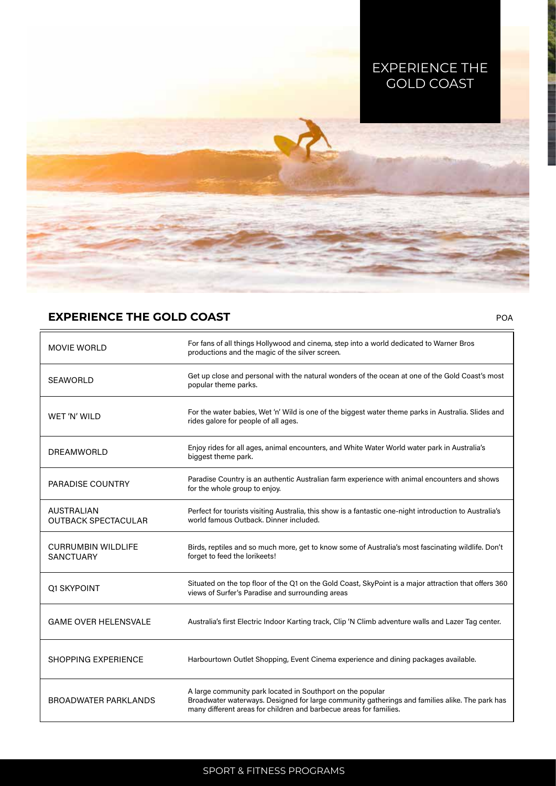

POA

# **EXPERIENCE THE GOLD COAST**

| <b>MOVIE WORLD</b>                              | For fans of all things Hollywood and cinema, step into a world dedicated to Warner Bros<br>productions and the magic of the silver screen.                                                                                         |
|-------------------------------------------------|------------------------------------------------------------------------------------------------------------------------------------------------------------------------------------------------------------------------------------|
| <b>SEAWORLD</b>                                 | Get up close and personal with the natural wonders of the ocean at one of the Gold Coast's most<br>popular theme parks.                                                                                                            |
| WET 'N' WILD                                    | For the water babies, Wet 'n' Wild is one of the biggest water theme parks in Australia. Slides and<br>rides galore for people of all ages.                                                                                        |
| DREAMWORLD                                      | Enjoy rides for all ages, animal encounters, and White Water World water park in Australia's<br>biggest theme park.                                                                                                                |
| <b>PARADISE COUNTRY</b>                         | Paradise Country is an authentic Australian farm experience with animal encounters and shows<br>for the whole group to enjoy.                                                                                                      |
| <b>AUSTRALIAN</b><br><b>OUTBACK SPECTACULAR</b> | Perfect for tourists visiting Australia, this show is a fantastic one-night introduction to Australia's<br>world famous Outback, Dinner included.                                                                                  |
| <b>CURRUMBIN WILDLIFE</b><br><b>SANCTUARY</b>   | Birds, reptiles and so much more, get to know some of Australia's most fascinating wildlife. Don't<br>forget to feed the lorikeets!                                                                                                |
| <b>Q1 SKYPOINT</b>                              | Situated on the top floor of the Q1 on the Gold Coast, SkyPoint is a major attraction that offers 360<br>views of Surfer's Paradise and surrounding areas                                                                          |
| <b>GAME OVER HELENSVALE</b>                     | Australia's first Electric Indoor Karting track, Clip 'N Climb adventure walls and Lazer Tag center.                                                                                                                               |
| <b>SHOPPING EXPERIENCE</b>                      | Harbourtown Outlet Shopping, Event Cinema experience and dining packages available.                                                                                                                                                |
| <b>BROADWATER PARKLANDS</b>                     | A large community park located in Southport on the popular<br>Broadwater waterways. Designed for large community gatherings and families alike. The park has<br>many different areas for children and barbecue areas for families. |